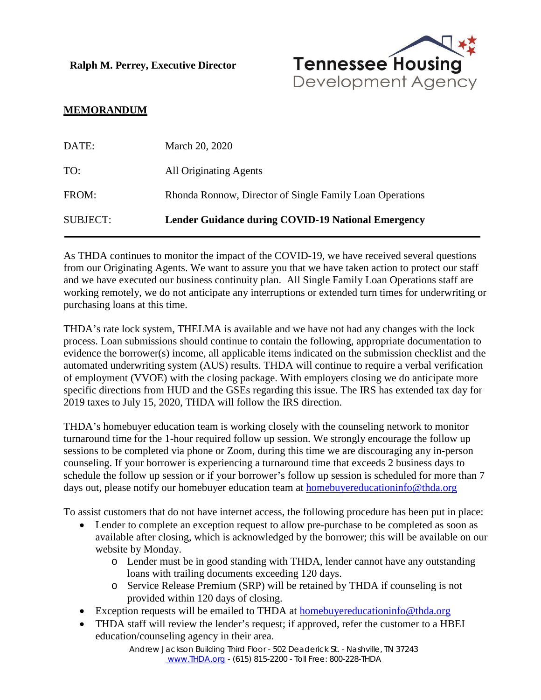**Ralph M. Perrey, Executive Director**



## **MEMORANDUM**

| DATE:           | March 20, 2020                                            |
|-----------------|-----------------------------------------------------------|
| TO:             | All Originating Agents                                    |
| FROM:           | Rhonda Ronnow, Director of Single Family Loan Operations  |
| <b>SUBJECT:</b> | <b>Lender Guidance during COVID-19 National Emergency</b> |

As THDA continues to monitor the impact of the COVID-19, we have received several questions from our Originating Agents. We want to assure you that we have taken action to protect our staff and we have executed our business continuity plan. All Single Family Loan Operations staff are working remotely, we do not anticipate any interruptions or extended turn times for underwriting or purchasing loans at this time.

THDA's rate lock system, THELMA is available and we have not had any changes with the lock process. Loan submissions should continue to contain the following, appropriate documentation to evidence the borrower(s) income, all applicable items indicated on the submission checklist and the automated underwriting system (AUS) results. THDA will continue to require a verbal verification of employment (VVOE) with the closing package. With employers closing we do anticipate more specific directions from HUD and the GSEs regarding this issue. The IRS has extended tax day for 2019 taxes to July 15, 2020, THDA will follow the IRS direction.

THDA's homebuyer education team is working closely with the counseling network to monitor turnaround time for the 1-hour required follow up session. We strongly encourage the follow up sessions to be completed via phone or Zoom, during this time we are discouraging any in-person counseling. If your borrower is experiencing a turnaround time that exceeds 2 business days to schedule the follow up session or if your borrower's follow up session is scheduled for more than 7 days out, please notify our homebuyer education team at [homebuyereducationinfo@thda.org](mailto:homebuyereducationinfo@thda.org)

To assist customers that do not have internet access, the following procedure has been put in place:

- Lender to complete an exception request to allow pre-purchase to be completed as soon as available after closing, which is acknowledged by the borrower; this will be available on our website by Monday.
	- o Lender must be in good standing with THDA, lender cannot have any outstanding loans with trailing documents exceeding 120 days.
	- o Service Release Premium (SRP) will be retained by THDA if counseling is not provided within 120 days of closing.
- Exception requests will be emailed to THDA at [homebuyereducationinfo@thda.org](mailto:homebuyereducationinfo@thda.org)
- THDA staff will review the lender's request; if approved, refer the customer to a HBEI education/counseling agency in their area.